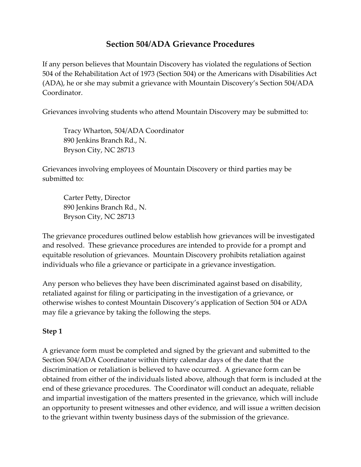## **Section 504/ADA Grievance Procedures**

If any person believes that Mountain Discovery has violated the regulations of Section 504 of the Rehabilitation Act of 1973 (Section 504) or the Americans with Disabilities Act (ADA), he or she may submit a grievance with Mountain Discovery's Section 504/ADA Coordinator.

Grievances involving students who attend Mountain Discovery may be submitted to:

Tracy Wharton, 504/ADA Coordinator 890 Jenkins Branch Rd., N. Bryson City, NC 28713

Grievances involving employees of Mountain Discovery or third parties may be submitted to:

Carter Petty, Director 890 Jenkins Branch Rd., N. Bryson City, NC 28713

The grievance procedures outlined below establish how grievances will be investigated and resolved. These grievance procedures are intended to provide for a prompt and equitable resolution of grievances. Mountain Discovery prohibits retaliation against individuals who file a grievance or participate in a grievance investigation.

Any person who believes they have been discriminated against based on disability, retaliated against for filing or participating in the investigation of a grievance, or otherwise wishes to contest Mountain Discovery's application of Section 504 or ADA may file a grievance by taking the following the steps.

#### **Step 1**

A grievance form must be completed and signed by the grievant and submitted to the Section 504/ADA Coordinator within thirty calendar days of the date that the discrimination or retaliation is believed to have occurred. A grievance form can be obtained from either of the individuals listed above, although that form is included at the end of these grievance procedures. The Coordinator will conduct an adequate, reliable and impartial investigation of the matters presented in the grievance, which will include an opportunity to present witnesses and other evidence, and will issue a written decision to the grievant within twenty business days of the submission of the grievance.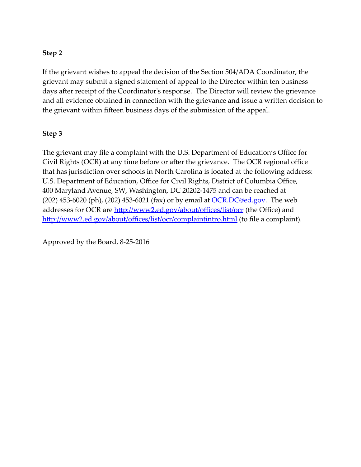### **Step 2**

If the grievant wishes to appeal the decision of the Section 504/ADA Coordinator, the grievant may submit a signed statement of appeal to the Director within ten business days after receipt of the Coordinator's response. The Director will review the grievance and all evidence obtained in connection with the grievance and issue a written decision to the grievant within fifteen business days of the submission of the appeal.

### **Step 3**

The grievant may file a complaint with the U.S. Department of Education's Office for Civil Rights (OCR) at any time before or after the grievance. The OCR regional office that has jurisdiction over schools in North Carolina is located at the following address: U.S. Department of Education, Office for Civil Rights, District of Columbia Office, 400 Maryland Avenue, SW, Washington, DC 20202-1475 and can be reached at (202) 453-6020 (ph), (202) 453-6021 (fax) or by email at  $OCR.DC@ed.gov$  $OCR.DC@ed.gov$  $OCR.DC@ed.gov$ . The web</u> addresses for OCR are <http://www2.ed.gov/about/offices/list/ocr> (the Office) and <http://www2.ed.gov/about/offices/list/ocr/complaintintro.html> (to file a complaint).

Approved by the Board, 8-25-2016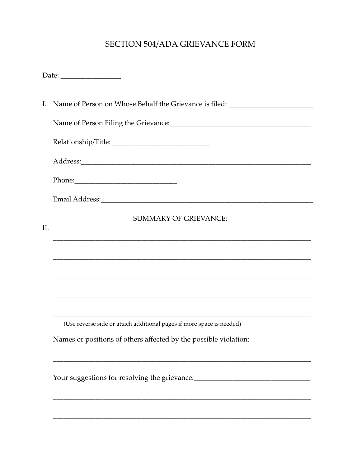# SECTION 504/ADA GRIEVANCE FORM

|     | I. Name of Person on Whose Behalf the Grievance is filed: ______________________                                                                                                                                               |
|-----|--------------------------------------------------------------------------------------------------------------------------------------------------------------------------------------------------------------------------------|
|     |                                                                                                                                                                                                                                |
|     |                                                                                                                                                                                                                                |
|     |                                                                                                                                                                                                                                |
|     | Phone: 2008 and 2008 and 2008 and 2008 and 2008 and 2008 and 2008 and 2008 and 2008 and 2008 and 2008 and 2008 and 2008 and 2008 and 2008 and 2008 and 2008 and 2008 and 2008 and 2008 and 2008 and 2008 and 2008 and 2008 and |
|     |                                                                                                                                                                                                                                |
| II. | <b>SUMMARY OF GRIEVANCE:</b>                                                                                                                                                                                                   |
|     |                                                                                                                                                                                                                                |
|     |                                                                                                                                                                                                                                |
|     |                                                                                                                                                                                                                                |
|     |                                                                                                                                                                                                                                |
|     | (Use reverse side or attach additional pages if more space is needed)                                                                                                                                                          |
|     | Names or positions of others affected by the possible violation:                                                                                                                                                               |
|     | Your suggestions for resolving the grievance:___________________________________                                                                                                                                               |